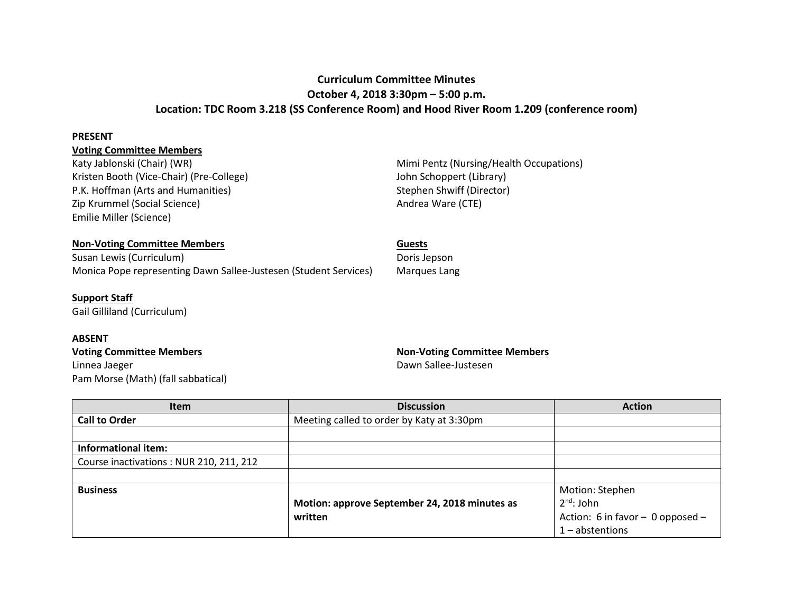# **Curriculum Committee Minutes October 4, 2018 3:30pm – 5:00 p.m. Location: TDC Room 3.218 (SS Conference Room) and Hood River Room 1.209 (conference room)**

#### **PRESENT**

## **Voting Committee Members**

Kristen Booth (Vice-Chair) (Pre-College) Manual Schoppert (Library) John Schoppert (Library) P.K. Hoffman (Arts and Humanities) Stephen Shwiff (Director) Stephen Shwiff (Director) Zip Krummel (Social Science) and a set of the Andrea Ware (CTE) Emilie Miller (Science)

Katy Jablonski (Chair) (WR) Mimi Pentz (Nursing/Health Occupations)

# **Non-Voting Committee Members Guests Guests**

Susan Lewis (Curriculum) Doris Jepson Monica Pope representing Dawn Sallee-Justesen (Student Services) Marques Lang

# **Support Staff**

Gail Gilliland (Curriculum)

## **ABSENT**

Linnea Jaeger Dawn Sallee-Justesen Pam Morse (Math) (fall sabbatical)

**Voting Committee Members Non-Voting Committee Members**

| <b>Item</b>                              | <b>Discussion</b>                             | <b>Action</b>                    |
|------------------------------------------|-----------------------------------------------|----------------------------------|
| <b>Call to Order</b>                     | Meeting called to order by Katy at 3:30pm     |                                  |
|                                          |                                               |                                  |
| Informational item:                      |                                               |                                  |
| Course inactivations : NUR 210, 211, 212 |                                               |                                  |
|                                          |                                               |                                  |
| <b>Business</b>                          |                                               | Motion: Stephen                  |
|                                          | Motion: approve September 24, 2018 minutes as | $2^{nd}$ : John                  |
|                                          | written                                       | Action: 6 in favor - 0 opposed - |
|                                          |                                               | $1$ – abstentions                |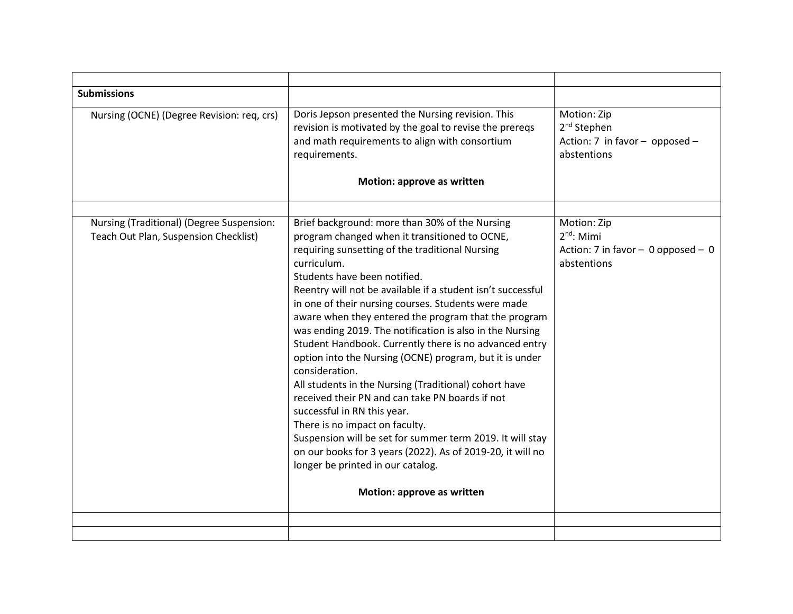| <b>Submissions</b>                                                                        |                                                                                                                                                                                                                                                                                                                                                                                                                                                                                                                                                                                                                                                                                                                                                                                                                                                                                                                                                               |                                                                                         |
|-------------------------------------------------------------------------------------------|---------------------------------------------------------------------------------------------------------------------------------------------------------------------------------------------------------------------------------------------------------------------------------------------------------------------------------------------------------------------------------------------------------------------------------------------------------------------------------------------------------------------------------------------------------------------------------------------------------------------------------------------------------------------------------------------------------------------------------------------------------------------------------------------------------------------------------------------------------------------------------------------------------------------------------------------------------------|-----------------------------------------------------------------------------------------|
| Nursing (OCNE) (Degree Revision: req, crs)                                                | Doris Jepson presented the Nursing revision. This<br>revision is motivated by the goal to revise the prereqs<br>and math requirements to align with consortium<br>requirements.<br>Motion: approve as written                                                                                                                                                                                                                                                                                                                                                                                                                                                                                                                                                                                                                                                                                                                                                 | Motion: Zip<br>2 <sup>nd</sup> Stephen<br>Action: 7 in favor - opposed -<br>abstentions |
|                                                                                           |                                                                                                                                                                                                                                                                                                                                                                                                                                                                                                                                                                                                                                                                                                                                                                                                                                                                                                                                                               |                                                                                         |
| <b>Nursing (Traditional) (Degree Suspension:</b><br>Teach Out Plan, Suspension Checklist) | Brief background: more than 30% of the Nursing<br>program changed when it transitioned to OCNE,<br>requiring sunsetting of the traditional Nursing<br>curriculum.<br>Students have been notified.<br>Reentry will not be available if a student isn't successful<br>in one of their nursing courses. Students were made<br>aware when they entered the program that the program<br>was ending 2019. The notification is also in the Nursing<br>Student Handbook. Currently there is no advanced entry<br>option into the Nursing (OCNE) program, but it is under<br>consideration.<br>All students in the Nursing (Traditional) cohort have<br>received their PN and can take PN boards if not<br>successful in RN this year.<br>There is no impact on faculty.<br>Suspension will be set for summer term 2019. It will stay<br>on our books for 3 years (2022). As of 2019-20, it will no<br>longer be printed in our catalog.<br>Motion: approve as written | Motion: Zip<br>$2nd$ : Mimi<br>Action: 7 in favor $-$ 0 opposed $-$ 0<br>abstentions    |
|                                                                                           |                                                                                                                                                                                                                                                                                                                                                                                                                                                                                                                                                                                                                                                                                                                                                                                                                                                                                                                                                               |                                                                                         |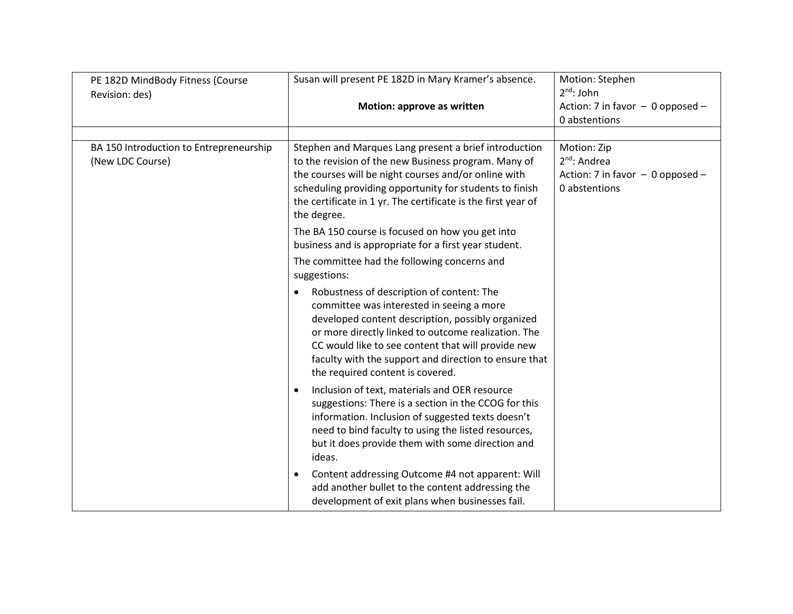| PE 182D MindBody Fitness (Course<br>Revision: des)          | Susan will present PE 182D in Mary Kramer's absence.<br>Motion: approve as written                                                                                                                                                                                                                                                                                   | Motion: Stephen<br>$2^{nd}$ : John<br>Action: 7 in favor - 0 opposed -<br>0 abstentions          |
|-------------------------------------------------------------|----------------------------------------------------------------------------------------------------------------------------------------------------------------------------------------------------------------------------------------------------------------------------------------------------------------------------------------------------------------------|--------------------------------------------------------------------------------------------------|
| BA 150 Introduction to Entrepreneurship<br>(New LDC Course) | Stephen and Marques Lang present a brief introduction<br>to the revision of the new Business program. Many of<br>the courses will be night courses and/or online with<br>scheduling providing opportunity for students to finish<br>the certificate in 1 yr. The certificate is the first year of<br>the degree.<br>The BA 150 course is focused on how you get into | Motion: Zip<br>2 <sup>nd</sup> : Andrea<br>Action: 7 in favor $-$ 0 opposed $-$<br>0 abstentions |
|                                                             | business and is appropriate for a first year student.<br>The committee had the following concerns and<br>suggestions:                                                                                                                                                                                                                                                |                                                                                                  |
|                                                             | Robustness of description of content: The<br>$\bullet$<br>committee was interested in seeing a more<br>developed content description, possibly organized<br>or more directly linked to outcome realization. The<br>CC would like to see content that will provide new<br>faculty with the support and direction to ensure that<br>the required content is covered.   |                                                                                                  |
|                                                             | Inclusion of text, materials and OER resource<br>$\bullet$<br>suggestions: There is a section in the CCOG for this<br>information. Inclusion of suggested texts doesn't<br>need to bind faculty to using the listed resources,<br>but it does provide them with some direction and<br>ideas.                                                                         |                                                                                                  |
|                                                             | Content addressing Outcome #4 not apparent: Will<br>$\bullet$<br>add another bullet to the content addressing the<br>development of exit plans when businesses fail.                                                                                                                                                                                                 |                                                                                                  |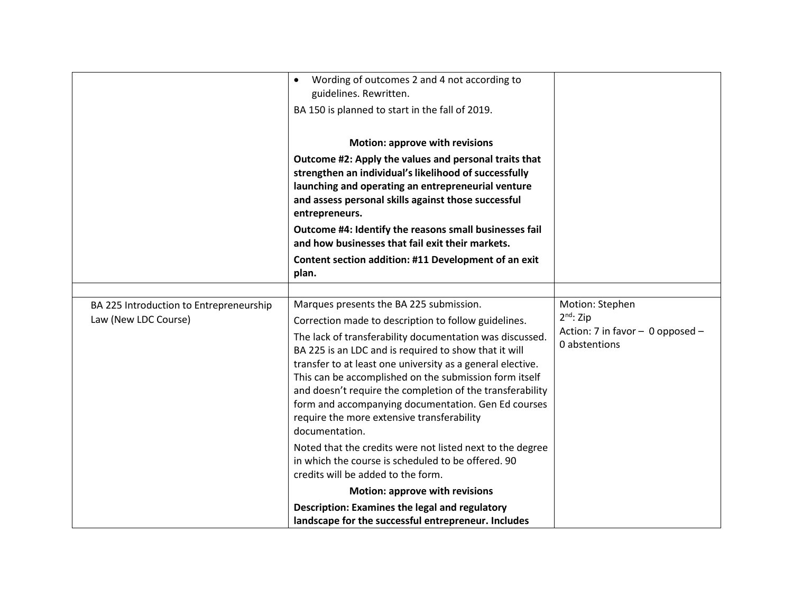|                                                                 | Wording of outcomes 2 and 4 not according to<br>guidelines. Rewritten.<br>BA 150 is planned to start in the fall of 2019.<br>Motion: approve with revisions<br>Outcome #2: Apply the values and personal traits that<br>strengthen an individual's likelihood of successfully<br>launching and operating an entrepreneurial venture<br>and assess personal skills against those successful<br>entrepreneurs.<br>Outcome #4: Identify the reasons small businesses fail<br>and how businesses that fail exit their markets.<br>Content section addition: #11 Development of an exit<br>plan.                                                                                                                                                                                   |                                                                                        |
|-----------------------------------------------------------------|-------------------------------------------------------------------------------------------------------------------------------------------------------------------------------------------------------------------------------------------------------------------------------------------------------------------------------------------------------------------------------------------------------------------------------------------------------------------------------------------------------------------------------------------------------------------------------------------------------------------------------------------------------------------------------------------------------------------------------------------------------------------------------|----------------------------------------------------------------------------------------|
| BA 225 Introduction to Entrepreneurship<br>Law (New LDC Course) | Marques presents the BA 225 submission.<br>Correction made to description to follow guidelines.<br>The lack of transferability documentation was discussed.<br>BA 225 is an LDC and is required to show that it will<br>transfer to at least one university as a general elective.<br>This can be accomplished on the submission form itself<br>and doesn't require the completion of the transferability<br>form and accompanying documentation. Gen Ed courses<br>require the more extensive transferability<br>documentation.<br>Noted that the credits were not listed next to the degree<br>in which the course is scheduled to be offered. 90<br>credits will be added to the form.<br>Motion: approve with revisions<br>Description: Examines the legal and regulatory | Motion: Stephen<br>$2^{nd}$ : Zip<br>Action: 7 in favor - 0 opposed -<br>0 abstentions |
|                                                                 | landscape for the successful entrepreneur. Includes                                                                                                                                                                                                                                                                                                                                                                                                                                                                                                                                                                                                                                                                                                                           |                                                                                        |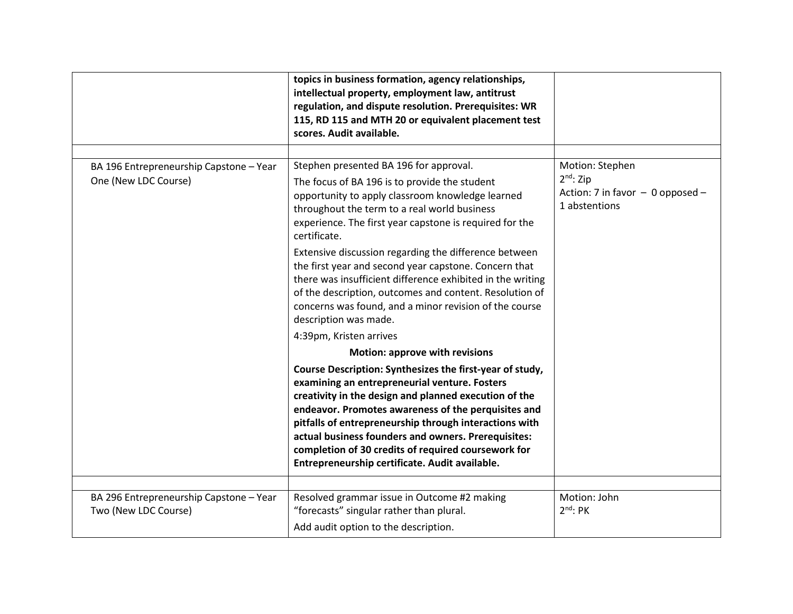|                                                                 | topics in business formation, agency relationships,<br>intellectual property, employment law, antitrust<br>regulation, and dispute resolution. Prerequisites: WR<br>115, RD 115 and MTH 20 or equivalent placement test<br>scores. Audit available.                                                                                                                                                                                                                                                                                                                                                                                                                                                                                                                                                                                                                                                                                                                                                                                                                                                                      |                                                                                        |
|-----------------------------------------------------------------|--------------------------------------------------------------------------------------------------------------------------------------------------------------------------------------------------------------------------------------------------------------------------------------------------------------------------------------------------------------------------------------------------------------------------------------------------------------------------------------------------------------------------------------------------------------------------------------------------------------------------------------------------------------------------------------------------------------------------------------------------------------------------------------------------------------------------------------------------------------------------------------------------------------------------------------------------------------------------------------------------------------------------------------------------------------------------------------------------------------------------|----------------------------------------------------------------------------------------|
| BA 196 Entrepreneurship Capstone - Year<br>One (New LDC Course) | Stephen presented BA 196 for approval.<br>The focus of BA 196 is to provide the student<br>opportunity to apply classroom knowledge learned<br>throughout the term to a real world business<br>experience. The first year capstone is required for the<br>certificate.<br>Extensive discussion regarding the difference between<br>the first year and second year capstone. Concern that<br>there was insufficient difference exhibited in the writing<br>of the description, outcomes and content. Resolution of<br>concerns was found, and a minor revision of the course<br>description was made.<br>4:39pm, Kristen arrives<br>Motion: approve with revisions<br>Course Description: Synthesizes the first-year of study,<br>examining an entrepreneurial venture. Fosters<br>creativity in the design and planned execution of the<br>endeavor. Promotes awareness of the perquisites and<br>pitfalls of entrepreneurship through interactions with<br>actual business founders and owners. Prerequisites:<br>completion of 30 credits of required coursework for<br>Entrepreneurship certificate. Audit available. | Motion: Stephen<br>$2^{nd}$ : Zip<br>Action: 7 in favor - 0 opposed -<br>1 abstentions |
| BA 296 Entrepreneurship Capstone - Year<br>Two (New LDC Course) | Resolved grammar issue in Outcome #2 making<br>"forecasts" singular rather than plural.<br>Add audit option to the description.                                                                                                                                                                                                                                                                                                                                                                                                                                                                                                                                                                                                                                                                                                                                                                                                                                                                                                                                                                                          | Motion: John<br>$2^{nd}$ : PK                                                          |